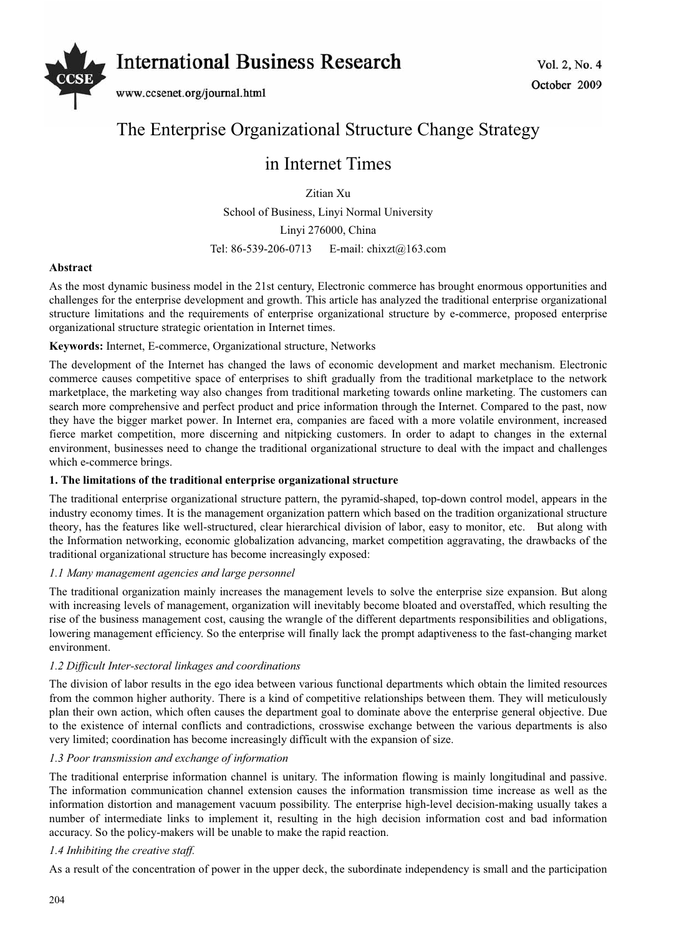

# The Enterprise Organizational Structure Change Strategy

# in Internet Times

Zitian Xu School of Business, Linyi Normal University Linyi 276000, China Tel: 86-539-206-0713 E-mail: chixzt@163.com

# **Abstract**

As the most dynamic business model in the 21st century, Electronic commerce has brought enormous opportunities and challenges for the enterprise development and growth. This article has analyzed the traditional enterprise organizational structure limitations and the requirements of enterprise organizational structure by e-commerce, proposed enterprise organizational structure strategic orientation in Internet times.

# **Keywords:** Internet, E-commerce, Organizational structure, Networks

The development of the Internet has changed the laws of economic development and market mechanism. Electronic commerce causes competitive space of enterprises to shift gradually from the traditional marketplace to the network marketplace, the marketing way also changes from traditional marketing towards online marketing. The customers can search more comprehensive and perfect product and price information through the Internet. Compared to the past, now they have the bigger market power. In Internet era, companies are faced with a more volatile environment, increased fierce market competition, more discerning and nitpicking customers. In order to adapt to changes in the external environment, businesses need to change the traditional organizational structure to deal with the impact and challenges which e-commerce brings.

# **1. The limitations of the traditional enterprise organizational structure**

The traditional enterprise organizational structure pattern, the pyramid-shaped, top-down control model, appears in the industry economy times. It is the management organization pattern which based on the tradition organizational structure theory, has the features like well-structured, clear hierarchical division of labor, easy to monitor, etc. But along with the Information networking, economic globalization advancing, market competition aggravating, the drawbacks of the traditional organizational structure has become increasingly exposed:

#### *1.1 Many management agencies and large personnel*

The traditional organization mainly increases the management levels to solve the enterprise size expansion. But along with increasing levels of management, organization will inevitably become bloated and overstaffed, which resulting the rise of the business management cost, causing the wrangle of the different departments responsibilities and obligations, lowering management efficiency. So the enterprise will finally lack the prompt adaptiveness to the fast-changing market environment.

#### *1.2 Difficult Inter-sectoral linkages and coordinations*

The division of labor results in the ego idea between various functional departments which obtain the limited resources from the common higher authority. There is a kind of competitive relationships between them. They will meticulously plan their own action, which often causes the department goal to dominate above the enterprise general objective. Due to the existence of internal conflicts and contradictions, crosswise exchange between the various departments is also very limited; coordination has become increasingly difficult with the expansion of size.

#### *1.3 Poor transmission and exchange of information*

The traditional enterprise information channel is unitary. The information flowing is mainly longitudinal and passive. The information communication channel extension causes the information transmission time increase as well as the information distortion and management vacuum possibility. The enterprise high-level decision-making usually takes a number of intermediate links to implement it, resulting in the high decision information cost and bad information accuracy. So the policy-makers will be unable to make the rapid reaction.

# *1.4 Inhibiting the creative staff.*

As a result of the concentration of power in the upper deck, the subordinate independency is small and the participation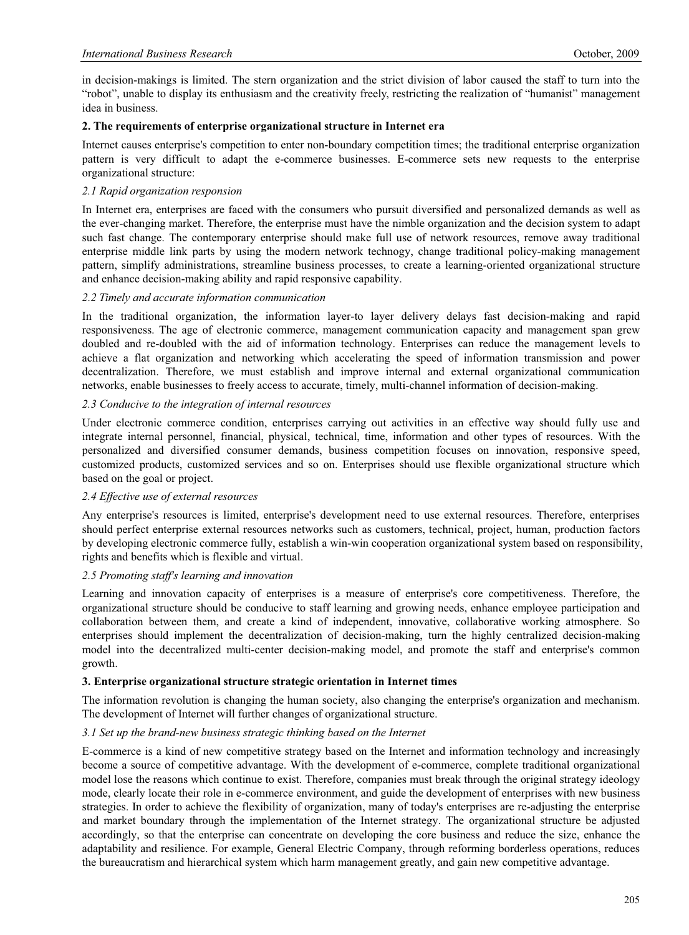in decision-makings is limited. The stern organization and the strict division of labor caused the staff to turn into the "robot", unable to display its enthusiasm and the creativity freely, restricting the realization of "humanist" management idea in business.

#### **2. The requirements of enterprise organizational structure in Internet era**

Internet causes enterprise's competition to enter non-boundary competition times; the traditional enterprise organization pattern is very difficult to adapt the e-commerce businesses. E-commerce sets new requests to the enterprise organizational structure:

#### *2.1 Rapid organization responsion*

In Internet era, enterprises are faced with the consumers who pursuit diversified and personalized demands as well as the ever-changing market. Therefore, the enterprise must have the nimble organization and the decision system to adapt such fast change. The contemporary enterprise should make full use of network resources, remove away traditional enterprise middle link parts by using the modern network technogy, change traditional policy-making management pattern, simplify administrations, streamline business processes, to create a learning-oriented organizational structure and enhance decision-making ability and rapid responsive capability.

# *2.2 Timely and accurate information communication*

In the traditional organization, the information layer-to layer delivery delays fast decision-making and rapid responsiveness. The age of electronic commerce, management communication capacity and management span grew doubled and re-doubled with the aid of information technology. Enterprises can reduce the management levels to achieve a flat organization and networking which accelerating the speed of information transmission and power decentralization. Therefore, we must establish and improve internal and external organizational communication networks, enable businesses to freely access to accurate, timely, multi-channel information of decision-making.

# *2.3 Conducive to the integration of internal resources*

Under electronic commerce condition, enterprises carrying out activities in an effective way should fully use and integrate internal personnel, financial, physical, technical, time, information and other types of resources. With the personalized and diversified consumer demands, business competition focuses on innovation, responsive speed, customized products, customized services and so on. Enterprises should use flexible organizational structure which based on the goal or project.

#### *2.4 Effective use of external resources*

Any enterprise's resources is limited, enterprise's development need to use external resources. Therefore, enterprises should perfect enterprise external resources networks such as customers, technical, project, human, production factors by developing electronic commerce fully, establish a win-win cooperation organizational system based on responsibility, rights and benefits which is flexible and virtual.

#### *2.5 Promoting staff's learning and innovation*

Learning and innovation capacity of enterprises is a measure of enterprise's core competitiveness. Therefore, the organizational structure should be conducive to staff learning and growing needs, enhance employee participation and collaboration between them, and create a kind of independent, innovative, collaborative working atmosphere. So enterprises should implement the decentralization of decision-making, turn the highly centralized decision-making model into the decentralized multi-center decision-making model, and promote the staff and enterprise's common growth.

#### **3. Enterprise organizational structure strategic orientation in Internet times**

The information revolution is changing the human society, also changing the enterprise's organization and mechanism. The development of Internet will further changes of organizational structure.

# *3.1 Set up the brand-new business strategic thinking based on the Internet*

E-commerce is a kind of new competitive strategy based on the Internet and information technology and increasingly become a source of competitive advantage. With the development of e-commerce, complete traditional organizational model lose the reasons which continue to exist. Therefore, companies must break through the original strategy ideology mode, clearly locate their role in e-commerce environment, and guide the development of enterprises with new business strategies. In order to achieve the flexibility of organization, many of today's enterprises are re-adjusting the enterprise and market boundary through the implementation of the Internet strategy. The organizational structure be adjusted accordingly, so that the enterprise can concentrate on developing the core business and reduce the size, enhance the adaptability and resilience. For example, General Electric Company, through reforming borderless operations, reduces the bureaucratism and hierarchical system which harm management greatly, and gain new competitive advantage.